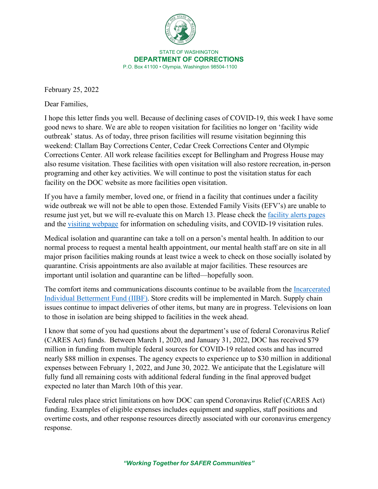

February 25, 2022

Dear Families,

I hope this letter finds you well. Because of declining cases of COVID-19, this week I have some good news to share. We are able to reopen visitation for facilities no longer on 'facility wide outbreak' status. As of today, three prison facilities will resume visitation beginning this weekend: Clallam Bay Corrections Center, Cedar Creek Corrections Center and Olympic Corrections Center. All work release facilities except for Bellingham and Progress House may also resume visitation. These facilities with open visitation will also restore recreation, in-person programing and other key activities. We will continue to post the visitation status for each facility on the DOC website as more facilities open visitation.

If you have a family member, loved one, or friend in a facility that continues under a facility wide outbreak we will not be able to open those. Extended Family Visits (EFV's) are unable to resume just yet, but we will re-evaluate this on March 13. Please check the [facility alerts pages](https://doc.wa.gov/information/alerts.htm) and the [visiting webpage](file://doc1floly1105/Enterprise/COVID19/Joint%20Information%20Center/Messages/Incarcerated%20messages/Additional%20details%20and%20specific%20guidance%20for%20visitation%20rules%20as%20well%20as%20COVID-19%20precautions) for information on scheduling visits, and COVID-19 visitation rules.

Medical isolation and quarantine can take a toll on a person's mental health. In addition to our normal process to request a mental health appointment, our mental health staff are on site in all major prison facilities making rounds at least twice a week to check on those socially isolated by quarantine. Crisis appointments are also available at major facilities. These resources are important until isolation and quarantine can be lifted—hopefully soon.

The comfort items and communications discounts continue to be available from the [Incarcerated](https://doc.wa.gov/corrections/covid-19/docs/2022-0128-incarcerated-families-letter-from-the-secretary.pdf)  [Individual Betterment Fund \(IIBF\).](https://doc.wa.gov/corrections/covid-19/docs/2022-0128-incarcerated-families-letter-from-the-secretary.pdf) Store credits will be implemented in March. Supply chain issues continue to impact deliveries of other items, but many are in progress. Televisions on loan to those in isolation are being shipped to facilities in the week ahead.

I know that some of you had questions about the department's use of federal Coronavirus Relief (CARES Act) funds. Between March 1, 2020, and January 31, 2022, DOC has received \$79 million in funding from multiple federal sources for COVID-19 related costs and has incurred nearly \$88 million in expenses. The agency expects to experience up to \$30 million in additional expenses between February 1, 2022, and June 30, 2022. We anticipate that the Legislature will fully fund all remaining costs with additional federal funding in the final approved budget expected no later than March 10th of this year.

Federal rules place strict limitations on how DOC can spend Coronavirus Relief (CARES Act) funding. Examples of eligible expenses includes equipment and supplies, staff positions and overtime costs, and other response resources directly associated with our coronavirus emergency response.